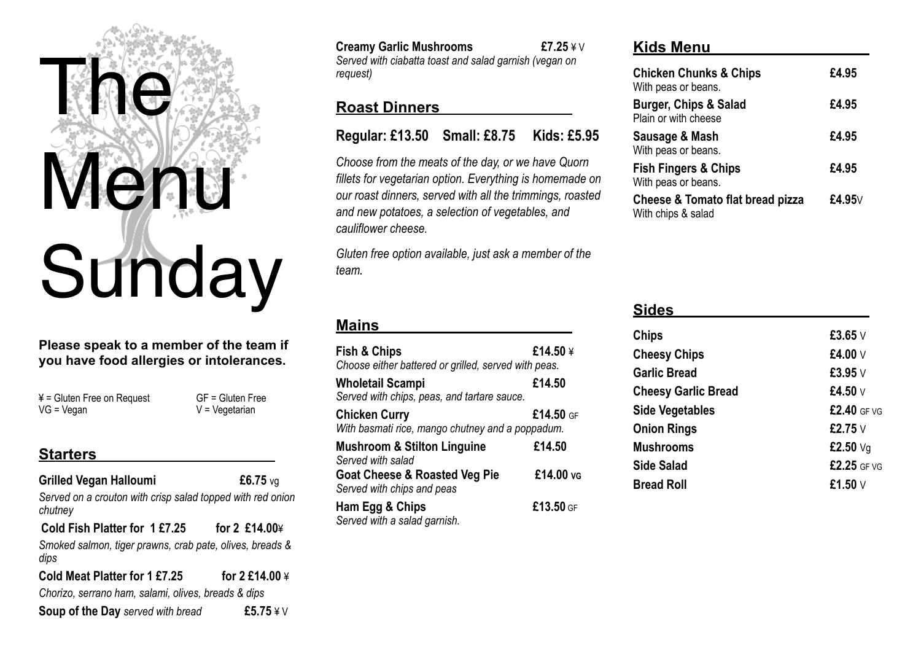# ne Menu **Sunday**

#### **Please speak to a member of the team if you have food allergies or intolerances.**

 $4 = Gluten Free on Request$  GF = Gluten Free  $VG = V$ egan  $V = V$ egetarian

## **Starters**

## **Grilled Vegan Halloumi £6.75** vg *Served on a crouton with crisp salad topped with red onion chutney* **Cold Fish Platter for 1 £7.25 for 2 £14.00**¥ *Smoked salmon, tiger prawns, crab pate, olives, breads & dips* **Cold Meat Platter for 1 £7.25 for 2 £14.00** ¥ *Chorizo, serrano ham, salami, olives, breads & dips*  **Soup of the Day** *served with bread* **£5.75** ¥ V

| <b>Creamy Garlic Mushrooms</b>                         | £7.25 $4 \vee$ |
|--------------------------------------------------------|----------------|
| Served with ciabatta toast and salad garnish (vegan on |                |
| request)                                               |                |

## **Roast Dinners**

*Choose from the meats of the day, or we have Quorn fillets for vegetarian option. Everything is homemade on our roast dinners, served with all the trimmings, roasted and new potatoes, a selection of vegetables, and cauliflower cheese.* 

*Gluten free option available, just ask a member of the team.*

#### **Mains**

| <b>Fish &amp; Chips</b><br>£14.50 $\angle$<br>Choose either battered or grilled, served with peas. |             |
|----------------------------------------------------------------------------------------------------|-------------|
| Wholetail Scampi<br>Served with chips, peas, and tartare sauce.                                    | £14.50      |
| <b>Chicken Curry</b><br>With basmati rice, mango chutney and a poppadum.                           | $£14.50$ GF |
| <b>Mushroom &amp; Stilton Linguine</b><br>Served with salad                                        | £14.50      |
| <b>Goat Cheese &amp; Roasted Veg Pie</b><br>Served with chips and peas                             | £14.00 vg   |
| Ham Egg & Chips<br>Served with a salad garnish.                                                    | £13.50 GF   |

#### **Kids Menu**

| <b>Chicken Chunks &amp; Chips</b><br>With peas or beans.          | £4.95        |
|-------------------------------------------------------------------|--------------|
| <b>Burger, Chips &amp; Salad</b><br>Plain or with cheese          | £4.95        |
| Sausage & Mash<br>With peas or beans.                             | £4.95        |
| <b>Fish Fingers &amp; Chips</b><br>With peas or beans.            | £4.95        |
| <b>Cheese &amp; Tomato flat bread pizza</b><br>With chips & salad | £4.95 $\vee$ |

## **Sides**

| Chips                      | £3.65 $V$    |
|----------------------------|--------------|
| <b>Cheesy Chips</b>        | £4.00 V      |
| <b>Garlic Bread</b>        | £3.95 V      |
| <b>Cheesy Garlic Bread</b> | £4.50 $\vee$ |
| <b>Side Vegetables</b>     | £2.40 GF VG  |
| <b>Onion Rings</b>         | £2.75 V      |
| <b>Mushrooms</b>           | £2.50 $Vq$   |
| Side Salad                 | £2.25 GF VG  |
| <b>Bread Roll</b>          | £1.50 V      |
|                            |              |